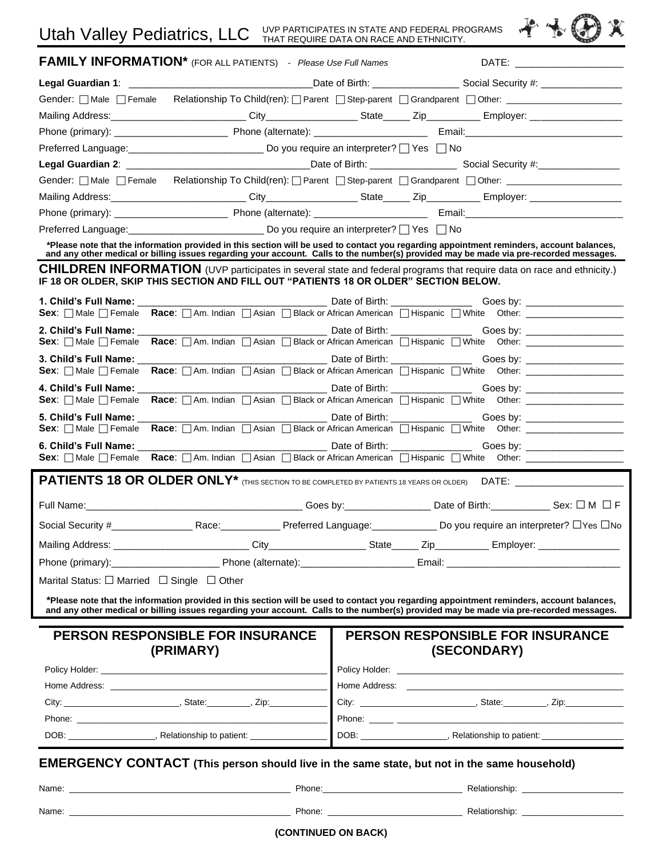X)

|                                                                                                                                                          | <b>FAMILY INFORMATION*</b> (FOR ALL PATIENTS) - Please Use Full Names                                                                                                                                                                                                               |                                                             |  |  |                                                        |                                                                                  |
|----------------------------------------------------------------------------------------------------------------------------------------------------------|-------------------------------------------------------------------------------------------------------------------------------------------------------------------------------------------------------------------------------------------------------------------------------------|-------------------------------------------------------------|--|--|--------------------------------------------------------|----------------------------------------------------------------------------------|
|                                                                                                                                                          |                                                                                                                                                                                                                                                                                     |                                                             |  |  |                                                        |                                                                                  |
|                                                                                                                                                          | Gender: Male Female Relationship To Child(ren): Parent Step-parent Grandparent Other: ____________________                                                                                                                                                                          |                                                             |  |  |                                                        |                                                                                  |
|                                                                                                                                                          |                                                                                                                                                                                                                                                                                     |                                                             |  |  |                                                        |                                                                                  |
|                                                                                                                                                          |                                                                                                                                                                                                                                                                                     |                                                             |  |  |                                                        |                                                                                  |
|                                                                                                                                                          | Preferred Language: __________________________________ Do you require an interpreter? □ Yes □ No                                                                                                                                                                                    |                                                             |  |  |                                                        |                                                                                  |
|                                                                                                                                                          |                                                                                                                                                                                                                                                                                     |                                                             |  |  |                                                        |                                                                                  |
|                                                                                                                                                          | Gender:   Male   Female Relationship To Child(ren):   Parent   Step-parent   Grandparent   Other: _                                                                                                                                                                                 |                                                             |  |  |                                                        |                                                                                  |
|                                                                                                                                                          |                                                                                                                                                                                                                                                                                     |                                                             |  |  |                                                        |                                                                                  |
|                                                                                                                                                          |                                                                                                                                                                                                                                                                                     |                                                             |  |  |                                                        |                                                                                  |
|                                                                                                                                                          |                                                                                                                                                                                                                                                                                     | Preferred Language: Do you require an interpreter? TYes TNo |  |  |                                                        |                                                                                  |
|                                                                                                                                                          | *Please note that the information provided in this section will be used to contact you regarding appointment reminders, account balances,<br>and any other medical or billing issues regarding your account. Calls to the number(s) provided may be made via pre-recorded messages. |                                                             |  |  |                                                        |                                                                                  |
|                                                                                                                                                          | CHILDREN INFORMATION (UVP participates in several state and federal programs that require data on race and ethnicity.)<br>IF 18 OR OLDER, SKIP THIS SECTION AND FILL OUT "PATIENTS 18 OR OLDER" SECTION BELOW.                                                                      |                                                             |  |  |                                                        |                                                                                  |
|                                                                                                                                                          |                                                                                                                                                                                                                                                                                     |                                                             |  |  |                                                        |                                                                                  |
|                                                                                                                                                          | Sex: Male Female Race: Am. Indian Asian Black or African American Hispanic NWhite Other: __________                                                                                                                                                                                 |                                                             |  |  |                                                        |                                                                                  |
| <b>Sex</b> : $\Box$ Male $\Box$ Female <b>Race</b> : $\Box$ Am. Indian $\Box$ Asian $\Box$ Black or African American $\Box$ Hispanic $\Box$ White Other: | 2. Child's Full Name: Wallet Contract to the Contract of the Contract of the Contract of the Contract of the Contract of the Contract of the Contract of the Contract of the Contract of the Contract of the Contract of the C                                                      |                                                             |  |  |                                                        |                                                                                  |
|                                                                                                                                                          |                                                                                                                                                                                                                                                                                     |                                                             |  |  |                                                        |                                                                                  |
| <b>Sex:</b> $\Box$ Male $\Box$ Female                                                                                                                    |                                                                                                                                                                                                                                                                                     |                                                             |  |  |                                                        |                                                                                  |
| <b>Sex:</b> $\Box$ Male $\Box$ Female                                                                                                                    | Race: <sub>1</sub> Am. Indian <sub>1</sub> Asian  □ Black or African American  □ Hispanic  □ White Other:  □ 2010, 2010, 2010                                                                                                                                                       |                                                             |  |  |                                                        |                                                                                  |
| <b>Sex:</b> $\Box$ Male $\Box$ Female                                                                                                                    |                                                                                                                                                                                                                                                                                     |                                                             |  |  |                                                        |                                                                                  |
|                                                                                                                                                          | Sex: Male Female Race: Am. Indian Asian Black or African American Blispanic Ninite Other: __________                                                                                                                                                                                |                                                             |  |  |                                                        |                                                                                  |
|                                                                                                                                                          |                                                                                                                                                                                                                                                                                     |                                                             |  |  |                                                        |                                                                                  |
| Full Name: Sex: □ M □ F                                                                                                                                  |                                                                                                                                                                                                                                                                                     |                                                             |  |  |                                                        |                                                                                  |
|                                                                                                                                                          |                                                                                                                                                                                                                                                                                     |                                                             |  |  |                                                        |                                                                                  |
|                                                                                                                                                          |                                                                                                                                                                                                                                                                                     |                                                             |  |  |                                                        |                                                                                  |
|                                                                                                                                                          |                                                                                                                                                                                                                                                                                     |                                                             |  |  |                                                        |                                                                                  |
| Marital Status: $\Box$ Married $\Box$ Single $\Box$ Other                                                                                                |                                                                                                                                                                                                                                                                                     |                                                             |  |  |                                                        |                                                                                  |
|                                                                                                                                                          | *Please note that the information provided in this section will be used to contact you regarding appointment reminders, account balances,<br>and any other medical or billing issues regarding your account. Calls to the number(s) provided may be made via pre-recorded messages. |                                                             |  |  |                                                        |                                                                                  |
|                                                                                                                                                          | <b>PERSON RESPONSIBLE FOR INSURANCE</b><br>(PRIMARY)                                                                                                                                                                                                                                |                                                             |  |  | <b>PERSON RESPONSIBLE FOR INSURANCE</b><br>(SECONDARY) |                                                                                  |
|                                                                                                                                                          | Policy Holder: The contract of the contract of the contract of the contract of the contract of the contract of the contract of the contract of the contract of the contract of the contract of the contract of the contract of                                                      |                                                             |  |  |                                                        |                                                                                  |
|                                                                                                                                                          | Home Address: The Contract of the Contract of the Contract of the Contract of the Contract of the Contract of the Contract of the Contract of the Contract of the Contract of the Contract of the Contract of the Contract of                                                       |                                                             |  |  |                                                        |                                                                                  |
| $City:$ $\_\_$                                                                                                                                           | <u>National Community State:</u> Community Cip: 2ip:                                                                                                                                                                                                                                |                                                             |  |  |                                                        |                                                                                  |
|                                                                                                                                                          |                                                                                                                                                                                                                                                                                     |                                                             |  |  |                                                        |                                                                                  |
|                                                                                                                                                          | DOB: _____________________, Relationship to patient: ______________                                                                                                                                                                                                                 |                                                             |  |  |                                                        | DOB: ________________________, Relationship to patient: ________________________ |
|                                                                                                                                                          | <b>EMERGENCY CONTACT</b> (This person should live in the same state, but not in the same household)                                                                                                                                                                                 |                                                             |  |  |                                                        |                                                                                  |
|                                                                                                                                                          | Name: Name: Name: Name: Name: Name: Name: Name: Name: Name: Name: Name: Name: Name: Name: Name: Name: Name: Name: Name: Name: Name: Name: Name: Name: Name: Name: Name: Name: Name: Name: Name: Name: Name: Name: Name: Name:                                                       |                                                             |  |  |                                                        |                                                                                  |

**(CONTINUED ON BACK)**